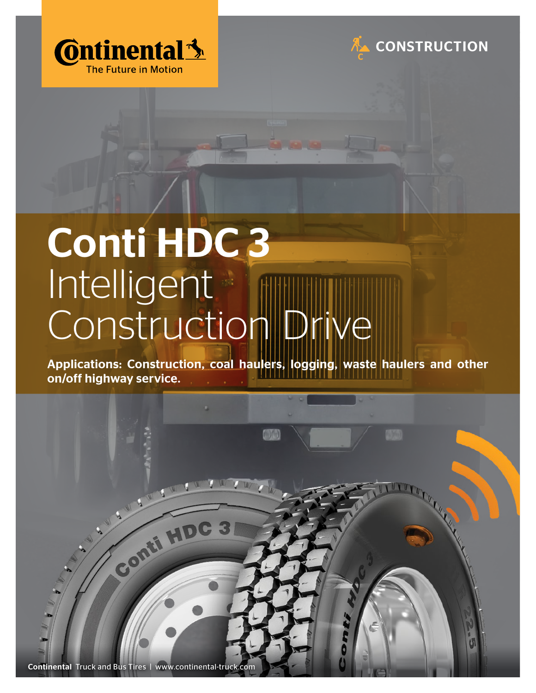



## Conti HDC 3 Intelligent Construction Drive

Applications: Construction, coal haulers, logging, waste haulers and other on/off highway service.